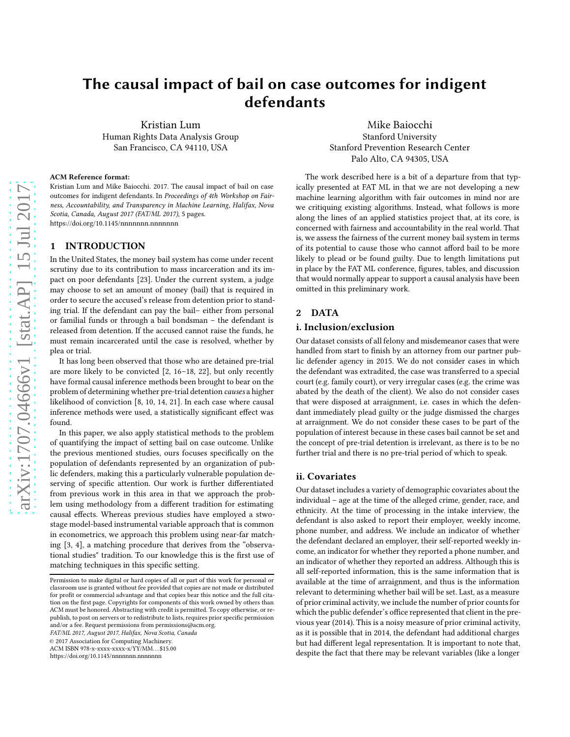# The causal impact of bail on case outcomes for indigent defendants

Kristian Lum Human Rights Data Analysis Group San Francisco, CA 94110, USA

Mike Baiocchi Stanford University Stanford Prevention Research Center Palo Alto, CA 94305, USA

#### ACM Reference format:

Kristian Lum and Mike Baiocchi. 2017. The causal impact of bail on case outcomes for indigent defendants. In Proceedings of 4th Workshop on Fairness, Accountability, and Transparency in Machine Learning, Halifax, Nova Scotia, Canada, August 2017 (FAT/ML 2017), [5](#page-4-0) pages. <https://doi.org/10.1145/nnnnnnn.nnnnnnn>

## 1 INTRODUCTION

In the United States, the money bail system has come under recent scrutiny due to its contribution to mass incarceration and its impact on poor defendants [\[23\]](#page-4-1). Under the current system, a judge may choose to set an amount of money (bail) that is required in order to secure the accused's release from detention prior to standing trial. If the defendant can pay the bail– either from personal or familial funds or through a bail bondsman – the defendant is released from detention. If the accused cannot raise the funds, he must remain incarcerated until the case is resolved, whether by plea or trial.

It has long been observed that those who are detained pre-trial are more likely to be convicted [\[2,](#page-4-2) [16](#page-4-3)[–18](#page-4-4), [22\]](#page-4-5), but only recently have formal causal inference methods been brought to bear on the problem of determining whether pre-trial detention causes a higher likelihood of conviction [\[8,](#page-4-6) [10,](#page-4-7) [14,](#page-4-8) [21\]](#page-4-9). In each case where causal inference methods were used, a statistically significant effect was found.

In this paper, we also apply statistical methods to the problem of quantifying the impact of setting bail on case outcome. Unlike the previous mentioned studies, ours focuses specifically on the population of defendants represented by an organization of public defenders, making this a particularly vulnerable population deserving of specific attention. Our work is further differentiated from previous work in this area in that we approach the problem using methodology from a different tradition for estimating causal effects. Whereas previous studies have employed a stwostage model-based instrumental variable approach that is common in econometrics, we approach this problem using near-far matching [\[3](#page-4-10), [4](#page-4-11)], a matching procedure that derives from the "observational studies" tradition. To our knowledge this is the first use of matching techniques in this specific setting.

FAT/ML 2017, August 2017, Halifax, Nova Scotia, Canada

© 2017 Association for Computing Machinery.

ACM ISBN 978-x-xxxx-xxxx-x/YY/MM. . . \$15.00

<https://doi.org/10.1145/nnnnnnn.nnnnnnn>

The work described here is a bit of a departure from that typically presented at FAT ML in that we are not developing a new machine learning algorithm with fair outcomes in mind nor are we critiquing existing algorithms. Instead, what follows is more along the lines of an applied statistics project that, at its core, is concerned with fairness and accountability in the real world. That is, we assess the fairness of the current money bail system in terms of its potential to cause those who cannot afford bail to be more likely to plead or be found guilty. Due to length limitations put in place by the FAT ML conference, figures, tables, and discussion that would normally appear to support a causal analysis have been omitted in this preliminary work.

## 2 DATA

#### i. Inclusion/exclusion

Our dataset consists of all felony and misdemeanor cases that were handled from start to finish by an attorney from our partner public defender agency in 2015. We do not consider cases in which the defendant was extradited, the case was transferred to a special court (e.g. family court), or very irregular cases (e.g. the crime was abated by the death of the client). We also do not consider cases that were disposed at arraignment, i.e. cases in which the defendant immediately plead guilty or the judge dismissed the charges at arraignment. We do not consider these cases to be part of the population of interest because in these cases bail cannot be set and the concept of pre-trial detention is irrelevant, as there is to be no further trial and there is no pre-trial period of which to speak.

## ii. Covariates

Our dataset includes a variety of demographic covariates about the individual – age at the time of the alleged crime, gender, race, and ethnicity. At the time of processing in the intake interview, the defendant is also asked to report their employer, weekly income, phone number, and address. We include an indicator of whether the defendant declared an employer, their self-reported weekly income, an indicator for whether they reported a phone number, and an indicator of whether they reported an address. Although this is all self-reported information, this is the same information that is available at the time of arraignment, and thus is the information relevant to determining whether bail will be set. Last, as a measure of prior criminal activity, we include the number of prior counts for which the public defender's office represented that client in the previous year (2014). This is a noisy measure of prior criminal activity, as it is possible that in 2014, the defendant had additional charges but had different legal representation. It is important to note that, despite the fact that there may be relevant variables (like a longer

Permission to make digital or hard copies of all or part of this work for personal or classroom use is granted without fee provided that copies are not made or distributed for profit or commercial advantage and that copies bear this notice and the full citation on the first page. Copyrights for components of this work owned by others than ACM must be honored. Abstracting with credit is permitted. To copy otherwise, or republish, to post on servers or to redistribute to lists, requires prior specific permission and/or a fee. Request permissions from permissions@acm.org.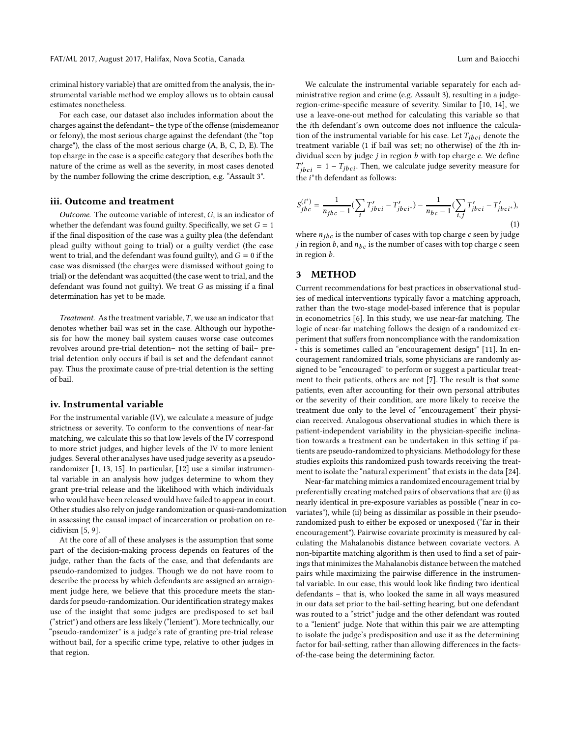criminal history variable) that are omitted from the analysis, the instrumental variable method we employ allows us to obtain causal estimates nonetheless.

For each case, our dataset also includes information about the charges against the defendant– the type of the offense (misdemeanor or felony), the most serious charge against the defendant (the "top charge"), the class of the most serious charge (A, B, C, D, E). The top charge in the case is a specific category that describes both the nature of the crime as well as the severity, in most cases denoted by the number following the crime description, e.g. "Assault 3".

#### iii. Outcome and treatment

Outcome. The outcome variable of interest, G, is an indicator of whether the defendant was found guilty. Specifically, we set  $G = 1$ if the final disposition of the case was a guilty plea (the defendant plead guilty without going to trial) or a guilty verdict (the case went to trial, and the defendant was found guilty), and  $G = 0$  if the case was dismissed (the charges were dismissed without going to trial) or the defendant was acquitted (the case went to trial, and the defendant was found not guilty). We treat  $G$  as missing if a final determination has yet to be made.

Treatment. As the treatment variable,  $T$ , we use an indicator that denotes whether bail was set in the case. Although our hypothesis for how the money bail system causes worse case outcomes revolves around pre-trial detention– not the setting of bail– pretrial detention only occurs if bail is set and the defendant cannot pay. Thus the proximate cause of pre-trial detention is the setting of bail.

## iv. Instrumental variable

For the instrumental variable (IV), we calculate a measure of judge strictness or severity. To conform to the conventions of near-far matching, we calculate this so that low levels of the IV correspond to more strict judges, and higher levels of the IV to more lenient judges. Several other analyses have used judge severity as a pseudorandomizer [\[1,](#page-4-12) [13,](#page-4-13) [15](#page-4-14)]. In particular, [\[12](#page-4-15)] use a similar instrumental variable in an analysis how judges determine to whom they grant pre-trial release and the likelihood with which individuals who would have been released would have failed to appear in court. Other studies also rely on judge randomization or quasi-randomization in assessing the causal impact of incarceration or probation on recidivism [\[5](#page-4-16), [9](#page-4-17)].

At the core of all of these analyses is the assumption that some part of the decision-making process depends on features of the judge, rather than the facts of the case, and that defendants are pseudo-randomized to judges. Though we do not have room to describe the process by which defendants are assigned an arraignment judge here, we believe that this procedure meets the standards for pseudo-randomization. Our identification strategy makes use of the insight that some judges are predisposed to set bail ("strict") and others are less likely ("lenient"). More technically, our "pseudo-randomizer" is a judge's rate of granting pre-trial release without bail, for a specific crime type, relative to other judges in that region.

We calculate the instrumental variable separately for each administrative region and crime (e.g. Assault 3), resulting in a judgeregion-crime-specific measure of severity. Similar to [\[10](#page-4-7), [14\]](#page-4-8), we use a leave-one-out method for calculating this variable so that the ith defendant's own outcome does not influence the calculation of the instrumental variable for his case. Let  $T_{i b c i}$  denote the treatment variable (1 if bail was set; no otherwise) of the ith individual seen by judge  $j$  in region  $b$  with top charge  $c$ . We define  $T'_{jbc i} = 1 - T_{jbc i}$ . Then, we calculate judge severity measure for the  $i^*$ <sup>th</sup> defendant as follows:

$$
S_{jbc}^{(i^*)} = \frac{1}{n_{jbc} - 1} \left( \sum_{i} T'_{jbci} - T'_{jbci^*} \right) - \frac{1}{n_{bc} - 1} \left( \sum_{i,j} T'_{jbci} - T'_{jbci^*} \right),\tag{1}
$$

where  $n_{ibc}$  is the number of cases with top charge c seen by judge *j* in region  $b$ , and  $n_{bc}$  is the number of cases with top charge  $c$  seen in region b.

#### 3 METHOD

Current recommendations for best practices in observational studies of medical interventions typically favor a matching approach, rather than the two-stage model-based inference that is popular in econometrics [\[6\]](#page-4-18). In this study, we use near-far matching. The logic of near-far matching follows the design of a randomized experiment that suffers from noncompliance with the randomization - this is sometimes called an "encouragement design" [\[11](#page-4-19)]. In encouragement randomized trials, some physicians are randomly assigned to be "encouraged" to perform or suggest a particular treatment to their patients, others are not [\[7](#page-4-20)]. The result is that some patients, even after accounting for their own personal attributes or the severity of their condition, are more likely to receive the treatment due only to the level of "encouragement" their physician received. Analogous observational studies in which there is patient-independent variability in the physician-specific inclination towards a treatment can be undertaken in this setting if patients are pseudo-randomized to physicians. Methodology for these studies exploits this randomized push towards receiving the treatment to isolate the "natural experiment" that exists in the data [\[24\]](#page-4-21).

Near-far matching mimics a randomized encouragement trial by preferentially creating matched pairs of observations that are (i) as nearly identical in pre-exposure variables as possible ("near in covariates"), while (ii) being as dissimilar as possible in their pseudorandomized push to either be exposed or unexposed ("far in their encouragement"). Pairwise covariate proximity is measured by calculating the Mahalanobis distance between covariate vectors. A non-bipartite matching algorithm is then used to find a set of pairings that minimizes the Mahalanobis distance between the matched pairs while maximizing the pairwise difference in the instrumental variable. In our case, this would look like finding two identical defendants – that is, who looked the same in all ways measured in our data set prior to the bail-setting hearing, but one defendant was routed to a "strict" judge and the other defendant was routed to a "lenient" judge. Note that within this pair we are attempting to isolate the judge's predisposition and use it as the determining factor for bail-setting, rather than allowing differences in the factsof-the-case being the determining factor.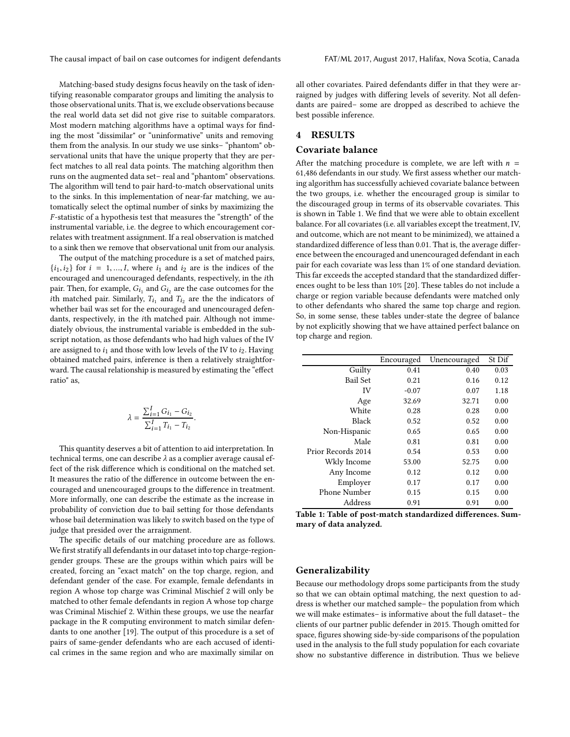The causal impact of bail on case outcomes for indigent defendants FAT/ML 2017, August 2017, Halifax, Nova Scotia, Canada

Matching-based study designs focus heavily on the task of identifying reasonable comparator groups and limiting the analysis to those observational units. That is, we exclude observations because the real world data set did not give rise to suitable comparators. Most modern matching algorithms have a optimal ways for finding the most "dissimilar" or "uninformative" units and removing them from the analysis. In our study we use sinks– "phantom" observational units that have the unique property that they are perfect matches to all real data points. The matching algorithm then runs on the augmented data set– real and "phantom" observations. The algorithm will tend to pair hard-to-match observational units to the sinks. In this implementation of near-far matching, we automatically select the optimal number of sinks by maximizing the F -statistic of a hypothesis test that measures the "strength" of the instrumental variable, i.e. the degree to which encouragement correlates with treatment assignment. If a real observation is matched to a sink then we remove that observational unit from our analysis.

The output of the matching procedure is a set of matched pairs,  ${i_1,i_2}$  for  $i = 1,..., I$ , where  $i_1$  and  $i_2$  are is the indices of the encouraged and unencouraged defendants, respectively, in the ith pair. Then, for example,  $G_{i_1}$  and  $G_{i_2}$  are the case outcomes for the *i*th matched pair. Similarly,  $T_{i_1}$  and  $T_{i_2}$  are the the indicators of whether bail was set for the encouraged and unencouraged defendants, respectively, in the ith matched pair. Although not immediately obvious, the instrumental variable is embedded in the subscript notation, as those defendants who had high values of the IV are assigned to  $i_1$  and those with low levels of the IV to  $i_2$ . Having obtained matched pairs, inference is then a relatively straightforward. The causal relationship is measured by estimating the "effect ratio" as,

$$
\lambda = \frac{\sum_{i=1}^{I} G_{i_1} - G_{i_2}}{\sum_{i=1}^{I} T_{i_1} - T_{i_2}}.
$$

This quantity deserves a bit of attention to aid interpretation. In technical terms, one can describe  $\lambda$  as a complier average causal effect of the risk difference which is conditional on the matched set. It measures the ratio of the difference in outcome between the encouraged and unencouraged groups to the difference in treatment. More informally, one can describe the estimate as the increase in probability of conviction due to bail setting for those defendants whose bail determination was likely to switch based on the type of judge that presided over the arraignment.

The specific details of our matching procedure are as follows. We first stratify all defendants in our dataset into top charge-regiongender groups. These are the groups within which pairs will be created, forcing an "exact match" on the top charge, region, and defendant gender of the case. For example, female defendants in region A whose top charge was Criminal Mischief 2 will only be matched to other female defendants in region A whose top charge was Criminal Mischief 2. Within these groups, we use the nearfar package in the R computing environment to match similar defendants to one another [\[19\]](#page-4-22). The output of this procedure is a set of pairs of same-gender defendants who are each accused of identical crimes in the same region and who are maximally similar on

all other covariates. Paired defendants differ in that they were arraigned by judges with differing levels of severity. Not all defendants are paired– some are dropped as described to achieve the best possible inference.

## 4 RESULTS

#### Covariate balance

After the matching procedure is complete, we are left with  $n =$ 61,486 defendants in our study. We first assess whether our matching algorithm has successfully achieved covariate balance between the two groups, i.e. whether the encouraged group is similar to the discouraged group in terms of its observable covariates. This is shown in Table [1.](#page-2-0) We find that we were able to obtain excellent balance. For all covariates (i.e. all variables except the treatment, IV, and outcome, which are not meant to be minimized), we attained a standardized difference of less than 0.01. That is, the average difference between the encouraged and unencouraged defendant in each pair for each covariate was less than 1% of one standard deviation. This far exceeds the accepted standard that the standardized differences ought to be less than 10% [\[20\]](#page-4-23). These tables do not include a charge or region variable because defendants were matched only to other defendants who shared the same top charge and region. So, in some sense, these tables under-state the degree of balance by not explicitly showing that we have attained perfect balance on top charge and region.

<span id="page-2-0"></span>

|                    | Encouraged | Unencouraged | St Dif |
|--------------------|------------|--------------|--------|
| Guilty             | 0.41       | 0.40         | 0.03   |
| Bail Set           | 0.21       | 0.16         | 0.12   |
| IV                 | $-0.07$    | 0.07         | 1.18   |
| Age                | 32.69      | 32.71        | 0.00   |
| White              | 0.28       | 0.28         | 0.00   |
| Black              | 0.52       | 0.52         | 0.00   |
| Non-Hispanic       | 0.65       | 0.65         | 0.00   |
| Male               | 0.81       | 0.81         | 0.00   |
| Prior Records 2014 | 0.54       | 0.53         | 0.00   |
| Wkly Income        | 53.00      | 52.75        | 0.00   |
| Any Income         | 0.12       | 0.12         | 0.00   |
| Employer           | 0.17       | 0.17         | 0.00   |
| Phone Number       | 0.15       | 0.15         | 0.00   |
| Address            | 0.91       | 0.91         | 0.00   |

Table 1: Table of post-match standardized differences. Summary of data analyzed.

### Generalizability

Because our methodology drops some participants from the study so that we can obtain optimal matching, the next question to address is whether our matched sample– the population from which we will make estimates– is informative about the full dataset– the clients of our partner public defender in 2015. Though omitted for space, figures showing side-by-side comparisons of the population used in the analysis to the full study population for each covariate show no substantive difference in distribution. Thus we believe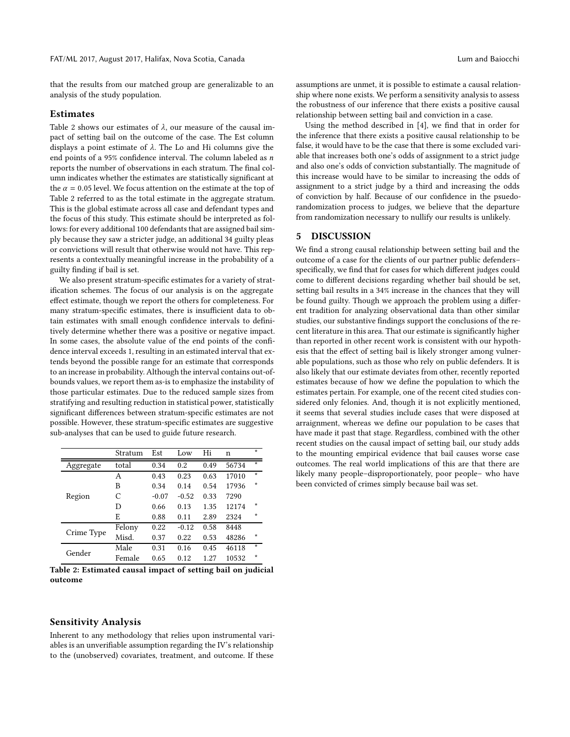that the results from our matched group are generalizable to an analysis of the study population.

#### Estimates

Table [2](#page-3-0) shows our estimates of  $\lambda$ , our measure of the causal impact of setting bail on the outcome of the case. The Est column displays a point estimate of  $\lambda$ . The Lo and Hi columns give the end points of a 95% confidence interval. The column labeled as  $n$ reports the number of observations in each stratum. The final column indicates whether the estimates are statistically significant at the  $\alpha$  = 0.05 level. We focus attention on the estimate at the top of Table [2](#page-3-0) referred to as the total estimate in the aggregate stratum. This is the global estimate across all case and defendant types and the focus of this study. This estimate should be interpreted as follows: for every additional 100 defendants that are assigned bail simply because they saw a stricter judge, an additional 34 guilty pleas or convictions will result that otherwise would not have. This represents a contextually meaningful increase in the probability of a guilty finding if bail is set.

We also present stratum-specific estimates for a variety of stratification schemes. The focus of our analysis is on the aggregate effect estimate, though we report the others for completeness. For many stratum-specific estimates, there is insufficient data to obtain estimates with small enough confidence intervals to definitively determine whether there was a positive or negative impact. In some cases, the absolute value of the end points of the confidence interval exceeds 1, resulting in an estimated interval that extends beyond the possible range for an estimate that corresponds to an increase in probability. Although the interval contains out-ofbounds values, we report them as-is to emphasize the instability of those particular estimates. Due to the reduced sample sizes from stratifying and resulting reduction in statistical power, statistically significant differences between stratum-specific estimates are not possible. However, these stratum-specific estimates are suggestive sub-analyses that can be used to guide future research.

<span id="page-3-0"></span>

|            | Stratum | Est     | Low     | Hi   | n     | $\star$ |
|------------|---------|---------|---------|------|-------|---------|
| Aggregate  | total   | 0.34    | 0.2     | 0.49 | 56734 | $\star$ |
| Region     | A       | 0.43    | 0.23    | 0.63 | 17010 | $\star$ |
|            | B       | 0.34    | 0.14    | 0.54 | 17936 | $\star$ |
|            | С       | $-0.07$ | $-0.52$ | 0.33 | 7290  |         |
|            | D       | 0.66    | 0.13    | 1.35 | 12174 | $\star$ |
|            | E       | 0.88    | 0.11    | 2.89 | 2324  | $\star$ |
| Crime Type | Felony  | 0.22    | $-0.12$ | 0.58 | 8448  |         |
|            | Misd.   | 0.37    | 0.22    | 0.53 | 48286 | $\star$ |
| Gender     | Male    | 0.31    | 0.16    | 0.45 | 46118 | $\star$ |
|            | Female  | 0.65    | 0.12    | 1.27 | 10532 | $\star$ |

Table 2: Estimated causal impact of setting bail on judicial outcome

#### Sensitivity Analysis

Inherent to any methodology that relies upon instrumental variables is an unverifiable assumption regarding the IV's relationship to the (unobserved) covariates, treatment, and outcome. If these

assumptions are unmet, it is possible to estimate a causal relationship where none exists. We perform a sensitivity analysis to assess the robustness of our inference that there exists a positive causal relationship between setting bail and conviction in a case.

Using the method described in [\[4](#page-4-11)], we find that in order for the inference that there exists a positive causal relationship to be false, it would have to be the case that there is some excluded variable that increases both one's odds of assignment to a strict judge and also one's odds of conviction substantially. The magnitude of this increase would have to be similar to increasing the odds of assignment to a strict judge by a third and increasing the odds of conviction by half. Because of our confidence in the psuedorandomization process to judges, we believe that the departure from randomization necessary to nullify our results is unlikely.

## 5 DISCUSSION

We find a strong causal relationship between setting bail and the outcome of a case for the clients of our partner public defenders– specifically, we find that for cases for which different judges could come to different decisions regarding whether bail should be set, setting bail results in a 34% increase in the chances that they will be found guilty. Though we approach the problem using a different tradition for analyzing observational data than other similar studies, our substantive findings support the conclusions of the recent literature in this area. That our estimate is significantly higher than reported in other recent work is consistent with our hypothesis that the effect of setting bail is likely stronger among vulnerable populations, such as those who rely on public defenders. It is also likely that our estimate deviates from other, recently reported estimates because of how we define the population to which the estimates pertain. For example, one of the recent cited studies considered only felonies. And, though it is not explicitly mentioned, it seems that several studies include cases that were disposed at arraignment, whereas we define our population to be cases that have made it past that stage. Regardless, combined with the other recent studies on the causal impact of setting bail, our study adds to the mounting empirical evidence that bail causes worse case outcomes. The real world implications of this are that there are likely many people–disproportionately, poor people– who have been convicted of crimes simply because bail was set.